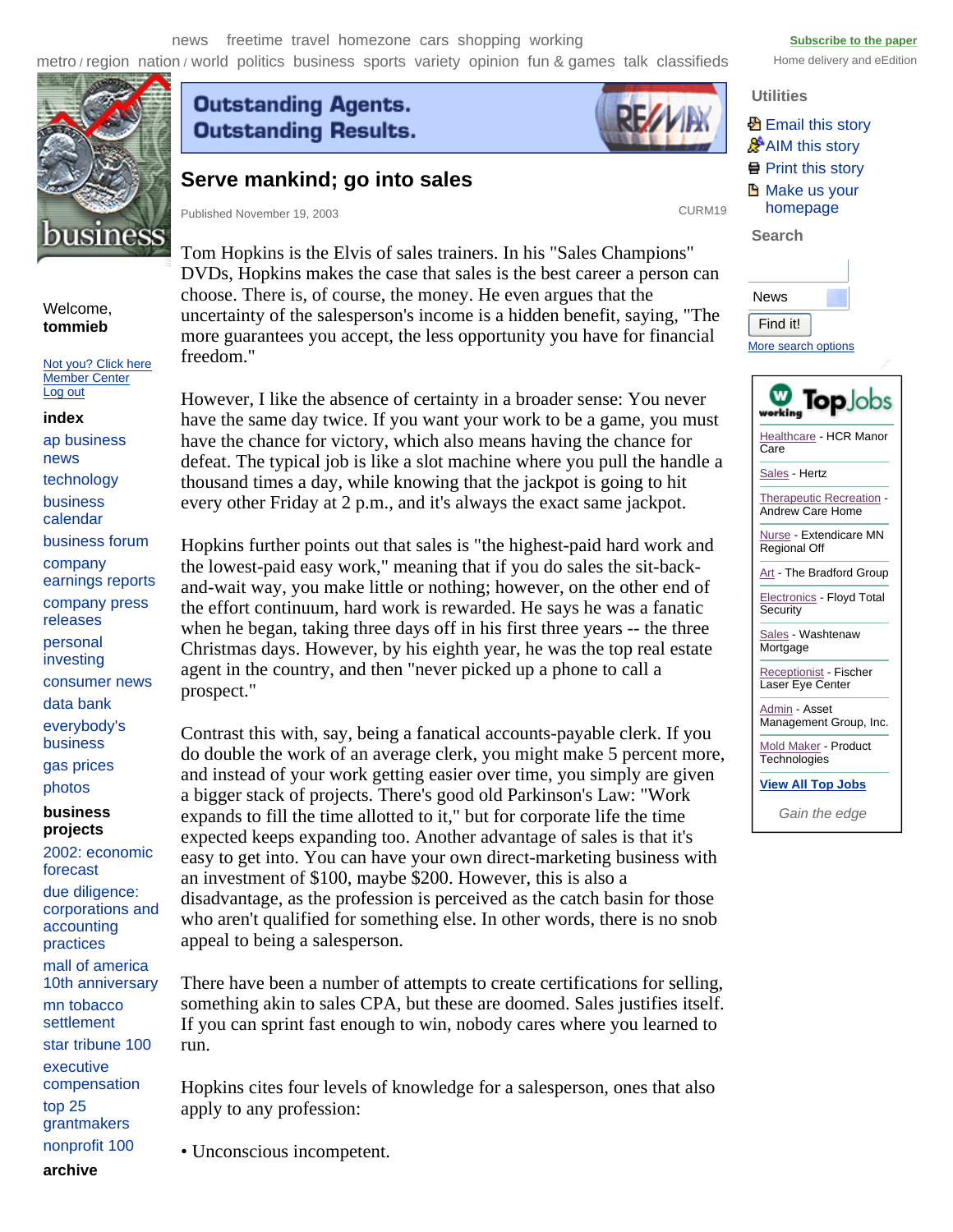news freetime travel homezone cars shopping working **Subscribe to the paper** structure of the paper

metro / region nation / world politics business sports variety opinion fun & games talk classifieds Home delivery and eEdition



## Welcome, **tommieb**

Not you? Click here Member Center Log out

### **index**

ap business news technology business calendar business forum company earnings reports company press releases personal investing consumer news data bank everybody's business gas prices

## **business projects**  photos

2002: economic forecast due diligence: corporations and accounting practices mall of america 10th anniversary mn tobacco settlement star tribune 100 executive compensation top 25 grantmakers nonprofit 100

# **Outstanding Agents. Outstanding Results.**



# **Serve mankind; go into sales**

Published November 19, 2003 CURM19

Tom Hopkins is the Elvis of sales trainers. In his "Sales Champions" DVDs, Hopkins makes the case that sales is the best career a person can choose. There is, of course, the money. He even argues that the uncertainty of the salesperson's income is a hidden benefit, saying, "The more guarantees you accept, the less opportunity you have for financial freedom."

However, I like the absence of certainty in a broader sense: You never have the same day twice. If you want your work to be a game, you must have the chance for victory, which also means having the chance for defeat. The typical job is like a slot machine where you pull the handle a thousand times a day, while knowing that the jackpot is going to hit every other Friday at 2 p.m., and it's always the exact same jackpot.

Hopkins further points out that sales is "the highest-paid hard work and the lowest-paid easy work," meaning that if you do sales the sit-backand-wait way, you make little or nothing; however, on the other end of the effort continuum, hard work is rewarded. He says he was a fanatic when he began, taking three days off in his first three years -- the three Christmas days. However, by his eighth year, he was the top real estate agent in the country, and then "never picked up a phone to call a prospect."

Contrast this with, say, being a fanatical accounts-payable clerk. If you do double the work of an average clerk, you might make 5 percent more, and instead of your work getting easier over time, you simply are given a bigger stack of projects. There's good old Parkinson's Law: "Work expands to fill the time allotted to it," but for corporate life the time expected keeps expanding too. Another advantage of sales is that it's easy to get into. You can have your own direct-marketing business with an investment of \$100, maybe \$200. However, this is also a disadvantage, as the profession is perceived as the catch basin for those who aren't qualified for something else. In other words, there is no snob appeal to being a salesperson.

There have been a number of attempts to create certifications for selling, something akin to sales CPA, but these are doomed. Sales justifies itself. If you can sprint fast enough to win, nobody cares where you learned to run.

Hopkins cites four levels of knowledge for a salesperson, ones that also apply to any profession:

• Unconscious incompetent.

News Find it!

**Utilities** 

**Search** 

**图 Email this story AIM** this story Print this story **H** Make us your homepage